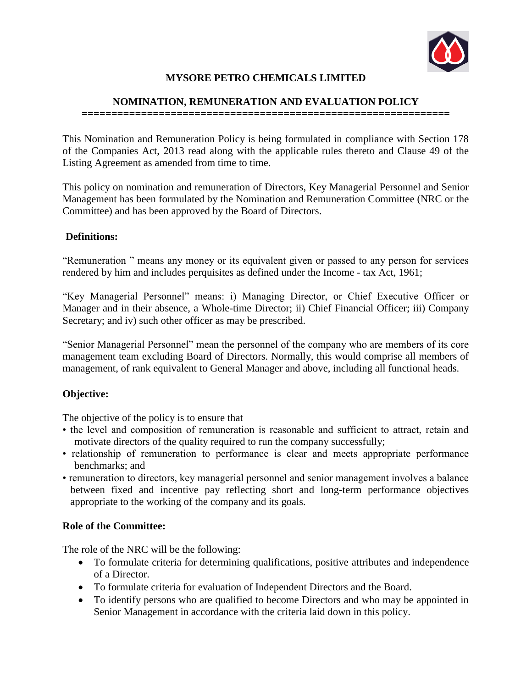

# **MYSORE PETRO CHEMICALS LIMITED**

## **NOMINATION, REMUNERATION AND EVALUATION POLICY**

**==============================================================**

This Nomination and Remuneration Policy is being formulated in compliance with Section 178 of the Companies Act, 2013 read along with the applicable rules thereto and Clause 49 of the Listing Agreement as amended from time to time.

This policy on nomination and remuneration of Directors, Key Managerial Personnel and Senior Management has been formulated by the Nomination and Remuneration Committee (NRC or the Committee) and has been approved by the Board of Directors.

## **Definitions:**

"Remuneration " means any money or its equivalent given or passed to any person for services rendered by him and includes perquisites as defined under the Income - tax Act, 1961;

"Key Managerial Personnel" means: i) Managing Director, or Chief Executive Officer or Manager and in their absence, a Whole-time Director; ii) Chief Financial Officer; iii) Company Secretary; and iv) such other officer as may be prescribed.

"Senior Managerial Personnel" mean the personnel of the company who are members of its core management team excluding Board of Directors. Normally, this would comprise all members of management, of rank equivalent to General Manager and above, including all functional heads.

## **Objective:**

The objective of the policy is to ensure that

- the level and composition of remuneration is reasonable and sufficient to attract, retain and motivate directors of the quality required to run the company successfully;
- relationship of remuneration to performance is clear and meets appropriate performance benchmarks; and
- remuneration to directors, key managerial personnel and senior management involves a balance between fixed and incentive pay reflecting short and long-term performance objectives appropriate to the working of the company and its goals.

## **Role of the Committee:**

The role of the NRC will be the following:

- To formulate criteria for determining qualifications, positive attributes and independence of a Director.
- To formulate criteria for evaluation of Independent Directors and the Board.
- To identify persons who are qualified to become Directors and who may be appointed in Senior Management in accordance with the criteria laid down in this policy.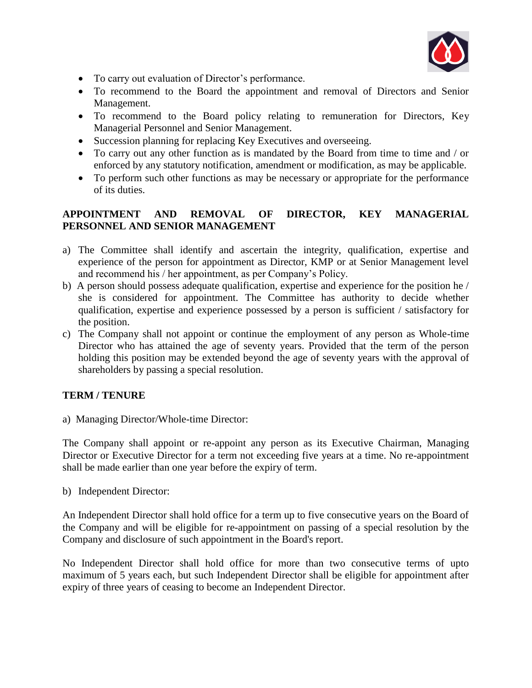

- To carry out evaluation of Director's performance.
- To recommend to the Board the appointment and removal of Directors and Senior Management.
- To recommend to the Board policy relating to remuneration for Directors, Key Managerial Personnel and Senior Management.
- Succession planning for replacing Key Executives and overseeing.
- To carry out any other function as is mandated by the Board from time to time and / or enforced by any statutory notification, amendment or modification, as may be applicable.
- To perform such other functions as may be necessary or appropriate for the performance of its duties.

## **APPOINTMENT AND REMOVAL OF DIRECTOR, KEY MANAGERIAL PERSONNEL AND SENIOR MANAGEMENT**

- a) The Committee shall identify and ascertain the integrity, qualification, expertise and experience of the person for appointment as Director, KMP or at Senior Management level and recommend his / her appointment, as per Company's Policy.
- b) A person should possess adequate qualification, expertise and experience for the position he / she is considered for appointment. The Committee has authority to decide whether qualification, expertise and experience possessed by a person is sufficient / satisfactory for the position.
- c) The Company shall not appoint or continue the employment of any person as Whole-time Director who has attained the age of seventy years. Provided that the term of the person holding this position may be extended beyond the age of seventy years with the approval of shareholders by passing a special resolution.

## **TERM / TENURE**

a) Managing Director/Whole-time Director:

The Company shall appoint or re-appoint any person as its Executive Chairman, Managing Director or Executive Director for a term not exceeding five years at a time. No re-appointment shall be made earlier than one year before the expiry of term.

b) Independent Director:

An Independent Director shall hold office for a term up to five consecutive years on the Board of the Company and will be eligible for re-appointment on passing of a special resolution by the Company and disclosure of such appointment in the Board's report.

No Independent Director shall hold office for more than two consecutive terms of upto maximum of 5 years each, but such Independent Director shall be eligible for appointment after expiry of three years of ceasing to become an Independent Director.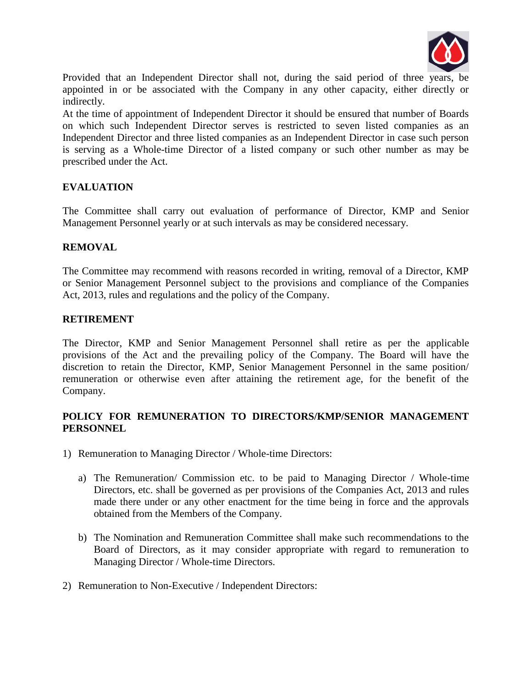

Provided that an Independent Director shall not, during the said period of three years, be appointed in or be associated with the Company in any other capacity, either directly or indirectly.

At the time of appointment of Independent Director it should be ensured that number of Boards on which such Independent Director serves is restricted to seven listed companies as an Independent Director and three listed companies as an Independent Director in case such person is serving as a Whole-time Director of a listed company or such other number as may be prescribed under the Act.

#### **EVALUATION**

The Committee shall carry out evaluation of performance of Director, KMP and Senior Management Personnel yearly or at such intervals as may be considered necessary.

#### **REMOVAL**

The Committee may recommend with reasons recorded in writing, removal of a Director, KMP or Senior Management Personnel subject to the provisions and compliance of the Companies Act, 2013, rules and regulations and the policy of the Company.

#### **RETIREMENT**

The Director, KMP and Senior Management Personnel shall retire as per the applicable provisions of the Act and the prevailing policy of the Company. The Board will have the discretion to retain the Director, KMP, Senior Management Personnel in the same position/ remuneration or otherwise even after attaining the retirement age, for the benefit of the Company.

#### **POLICY FOR REMUNERATION TO DIRECTORS/KMP/SENIOR MANAGEMENT PERSONNEL**

- 1) Remuneration to Managing Director / Whole-time Directors:
	- a) The Remuneration/ Commission etc. to be paid to Managing Director / Whole-time Directors, etc. shall be governed as per provisions of the Companies Act, 2013 and rules made there under or any other enactment for the time being in force and the approvals obtained from the Members of the Company.
	- b) The Nomination and Remuneration Committee shall make such recommendations to the Board of Directors, as it may consider appropriate with regard to remuneration to Managing Director / Whole-time Directors.
- 2) Remuneration to Non-Executive / Independent Directors: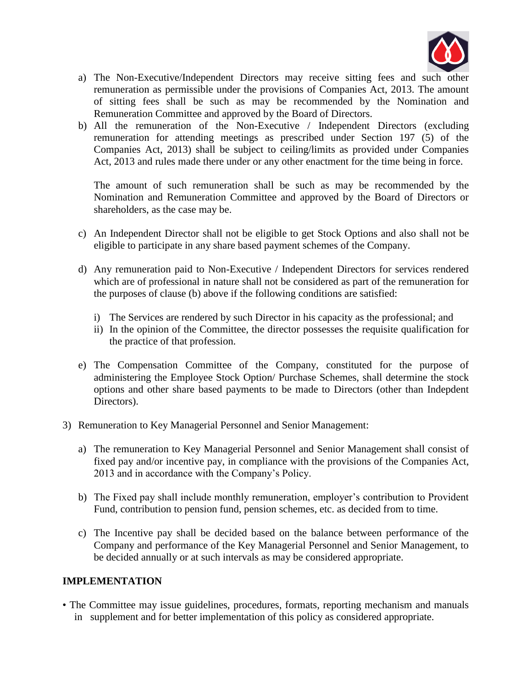

- a) The Non-Executive/Independent Directors may receive sitting fees and such other remuneration as permissible under the provisions of Companies Act, 2013. The amount of sitting fees shall be such as may be recommended by the Nomination and Remuneration Committee and approved by the Board of Directors.
- b) All the remuneration of the Non-Executive / Independent Directors (excluding remuneration for attending meetings as prescribed under Section 197 (5) of the Companies Act, 2013) shall be subject to ceiling/limits as provided under Companies Act, 2013 and rules made there under or any other enactment for the time being in force.

The amount of such remuneration shall be such as may be recommended by the Nomination and Remuneration Committee and approved by the Board of Directors or shareholders, as the case may be.

- c) An Independent Director shall not be eligible to get Stock Options and also shall not be eligible to participate in any share based payment schemes of the Company.
- d) Any remuneration paid to Non-Executive / Independent Directors for services rendered which are of professional in nature shall not be considered as part of the remuneration for the purposes of clause (b) above if the following conditions are satisfied:
	- i) The Services are rendered by such Director in his capacity as the professional; and
	- ii) In the opinion of the Committee, the director possesses the requisite qualification for the practice of that profession.
- e) The Compensation Committee of the Company, constituted for the purpose of administering the Employee Stock Option/ Purchase Schemes, shall determine the stock options and other share based payments to be made to Directors (other than Indepdent Directors).
- 3) Remuneration to Key Managerial Personnel and Senior Management:
	- a) The remuneration to Key Managerial Personnel and Senior Management shall consist of fixed pay and/or incentive pay, in compliance with the provisions of the Companies Act, 2013 and in accordance with the Company's Policy.
	- b) The Fixed pay shall include monthly remuneration, employer's contribution to Provident Fund, contribution to pension fund, pension schemes, etc. as decided from to time.
	- c) The Incentive pay shall be decided based on the balance between performance of the Company and performance of the Key Managerial Personnel and Senior Management, to be decided annually or at such intervals as may be considered appropriate.

## **IMPLEMENTATION**

• The Committee may issue guidelines, procedures, formats, reporting mechanism and manuals in supplement and for better implementation of this policy as considered appropriate.